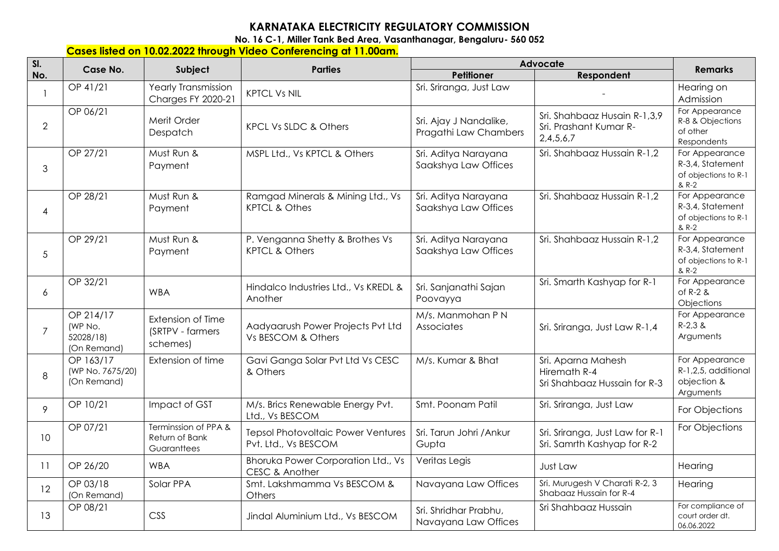## **KARNATAKA ELECTRICITY REGULATORY COMMISSION**

**No. 16 C-1, Miller Tank Bed Area, Vasanthanagar, Bengaluru- 560 052** 

## **Cases listed on 10.02.2022 through Video Conferencing at 11.00am.**

| SI.            | Case No.                                         |                                                          | <b>Parties</b>                                                    | <b>Advocate</b>                                 |                                                                     |                                                                     |
|----------------|--------------------------------------------------|----------------------------------------------------------|-------------------------------------------------------------------|-------------------------------------------------|---------------------------------------------------------------------|---------------------------------------------------------------------|
| No.            |                                                  | Subject                                                  |                                                                   | <b>Petitioner</b>                               | Respondent                                                          | <b>Remarks</b>                                                      |
|                | OP 41/21                                         | Yearly Transmission<br><b>Charges FY 2020-21</b>         | <b>KPTCL Vs NIL</b>                                               | Sri. Sriranga, Just Law                         |                                                                     | Hearing on<br>Admission                                             |
| $\overline{2}$ | OP 06/21                                         | Merit Order<br>Despatch                                  | <b>KPCL Vs SLDC &amp; Others</b>                                  | Sri. Ajay J Nandalike,<br>Pragathi Law Chambers | Sri. Shahbaaz Husain R-1,3,9<br>Sri. Prashant Kumar R-<br>2,4,5,6,7 | For Appearance<br>R-8 & Objections<br>of other<br>Respondents       |
| 3              | OP 27/21                                         | Must Run &<br>Payment                                    | MSPL Ltd., Vs KPTCL & Others                                      | Sri. Aditya Narayana<br>Saakshya Law Offices    | Sri. Shahbaaz Hussain R-1,2                                         | For Appearance<br>R-3,4, Statement<br>of objections to R-1<br>& R-2 |
| 4              | OP 28/21                                         | Must Run &<br>Payment                                    | Ramgad Minerals & Mining Ltd., Vs<br><b>KPTCL &amp; Othes</b>     | Sri. Aditya Narayana<br>Saakshya Law Offices    | Sri. Shahbaaz Hussain R-1,2                                         | For Appearance<br>R-3,4, Statement<br>of objections to R-1<br>& R-2 |
| 5              | OP 29/21                                         | Must Run &<br>Payment                                    | P. Venganna Shetty & Brothes Vs<br><b>KPTCL &amp; Others</b>      | Sri. Aditya Narayana<br>Saakshya Law Offices    | Sri. Shahbaaz Hussain R-1,2                                         | For Appearance<br>R-3,4, Statement<br>of objections to R-1<br>& R-2 |
| 6              | OP 32/21                                         | <b>WBA</b>                                               | Hindalco Industries Ltd., Vs KREDL &<br>Another                   | Sri. Sanjanathi Sajan<br>Poovayya               | Sri. Smarth Kashyap for R-1                                         | For Appearance<br>of R-2 &<br>Objections                            |
| $\overline{7}$ | OP 214/17<br>(WP No.<br>52028/18)<br>(On Remand) | <b>Extension of Time</b><br>(SRTPV - farmers<br>schemes) | Aadyaarush Power Projects Pvt Ltd<br>Vs BESCOM & Others           | M/s. Manmohan P N<br>Associates                 | Sri. Sriranga, Just Law R-1,4                                       | For Appearance<br>$R-2,3$ &<br>Arguments                            |
| 8              | OP 163/17<br>(WP No. 7675/20)<br>(On Remand)     | Extension of time                                        | Gavi Ganga Solar Pvt Ltd Vs CESC<br>& Others                      | M/s. Kumar & Bhat                               | Sri. Aparna Mahesh<br>Hiremath R-4<br>Sri Shahbaaz Hussain for R-3  | For Appearance<br>R-1,2,5, additional<br>objection &<br>Arguments   |
| 9              | OP 10/21                                         | Impact of GST                                            | M/s. Brics Renewable Energy Pvt.<br>Ltd., Vs BESCOM               | Smt. Poonam Patil                               | Sri. Sriranga, Just Law                                             | For Objections                                                      |
| 10             | OP 07/21                                         | Terminssion of PPA &<br>Return of Bank<br>Guaranttees    | <b>Tepsol Photovoltaic Power Ventures</b><br>Pvt. Ltd., Vs BESCOM | Sri. Tarun Johri / Ankur<br>Gupta               | Sri. Sriranga, Just Law for R-1<br>Sri. Samrth Kashyap for R-2      | For Objections                                                      |
| 11             | OP 26/20                                         | <b>WBA</b>                                               | Bhoruka Power Corporation Ltd., Vs<br>CESC & Another              | Veritas Legis                                   | Just Law                                                            | Hearing                                                             |
| 12             | OP 03/18<br>(On Remand)                          | Solar PPA                                                | Smt. Lakshmamma Vs BESCOM &<br>Others                             | Navayana Law Offices                            | Sri. Murugesh V Charati R-2, 3<br>Shabaaz Hussain for R-4           | Hearing                                                             |
| 13             | OP 08/21                                         | <b>CSS</b>                                               | Jindal Aluminium Ltd., Vs BESCOM                                  | Sri. Shridhar Prabhu,<br>Navayana Law Offices   | Sri Shahbaaz Hussain                                                | For compliance of<br>court order dt.<br>06.06.2022                  |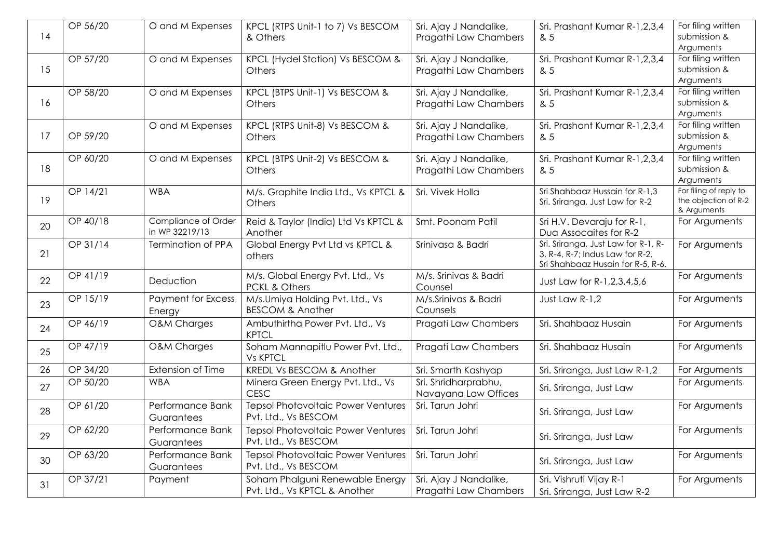|    | OP 56/20 | O and M Expenses          | KPCL (RTPS Unit-1 to 7) Vs BESCOM                | Sri. Ajay J Nandalike,          | Sri. Prashant Kumar R-1,2,3,4       | For filing written                             |
|----|----------|---------------------------|--------------------------------------------------|---------------------------------|-------------------------------------|------------------------------------------------|
| 14 |          |                           | & Others                                         | Pragathi Law Chambers           | 8.5                                 | submission &                                   |
|    |          |                           |                                                  |                                 |                                     | Arguments                                      |
| 15 | OP 57/20 | O and M Expenses          | KPCL (Hydel Station) Vs BESCOM &                 | Sri. Ajay J Nandalike,          | Sri. Prashant Kumar R-1,2,3,4       | For filing written<br>submission &             |
|    |          |                           | <b>Others</b>                                    | Pragathi Law Chambers           | & 5                                 | Arguments                                      |
|    | OP 58/20 | O and M Expenses          | KPCL (BTPS Unit-1) Vs BESCOM &                   | Sri. Ajay J Nandalike,          | Sri. Prashant Kumar R-1,2,3,4       | For filing written                             |
| 16 |          |                           | Others                                           | Pragathi Law Chambers           | & 5                                 | submission &                                   |
|    |          |                           |                                                  |                                 |                                     | Arguments                                      |
|    |          | O and M Expenses          | KPCL (RTPS Unit-8) Vs BESCOM &                   | Sri. Ajay J Nandalike,          | Sri. Prashant Kumar R-1,2,3,4       | For filing written                             |
| 17 | OP 59/20 |                           | <b>Others</b>                                    | Pragathi Law Chambers           | & 5                                 | submission &                                   |
|    |          |                           |                                                  |                                 |                                     | Arguments                                      |
|    | OP 60/20 | O and M Expenses          | KPCL (BTPS Unit-2) Vs BESCOM &                   | Sri. Ajay J Nandalike,          | Sri. Prashant Kumar R-1,2,3,4       | For filing written                             |
| 18 |          |                           | Others                                           | Pragathi Law Chambers           | & 5                                 | submission &                                   |
|    |          |                           |                                                  |                                 |                                     | Arguments                                      |
| 19 | OP 14/21 | <b>WBA</b>                | M/s. Graphite India Ltd., Vs KPTCL &             | Sri. Vivek Holla                | Sri Shahbaaz Hussain for R-1,3      | For filing of reply to<br>the objection of R-2 |
|    |          |                           | <b>Others</b>                                    |                                 | Sri. Sriranga, Just Law for R-2     | & Arguments                                    |
| 20 | OP 40/18 | Compliance of Order       | Reid & Taylor (India) Ltd Vs KPTCL &             | Smt. Poonam Patil               | Sri H.V. Devaraju for R-1,          | For Arguments                                  |
|    |          | in WP 32219/13            | Another                                          |                                 | Dua Assocaites for R-2              |                                                |
|    | OP 31/14 | <b>Termination of PPA</b> | Global Energy Pvt Ltd vs KPTCL &                 | Srinivasa & Badri               | Sri. Sriranga, Just Law for R-1, R- | For Arguments                                  |
| 21 |          |                           | others                                           |                                 | 3, R-4, R-7; Indus Law for R-2,     |                                                |
|    |          |                           |                                                  |                                 | Sri Shahbaaz Husain for R-5, R-6.   |                                                |
| 22 | OP 41/19 | Deduction                 | M/s. Global Energy Pvt. Ltd., Vs                 | M/s. Srinivas & Badri           | Just Law for R-1, 2, 3, 4, 5, 6     | For Arguments                                  |
|    | OP 15/19 | <b>Payment for Excess</b> | PCKL & Others<br>M/s.Umiya Holding Pvt. Ltd., Vs | Counsel<br>M/s.Srinivas & Badri | Just Law R-1,2                      | For Arguments                                  |
| 23 |          |                           | <b>BESCOM &amp; Another</b>                      | Counsels                        |                                     |                                                |
|    | OP 46/19 | Energy                    |                                                  |                                 |                                     |                                                |
| 24 |          | <b>O&amp;M Charges</b>    | Ambuthirtha Power Pvt. Ltd., Vs<br><b>KPTCL</b>  | Pragati Law Chambers            | Sri. Shahbaaz Husain                | For Arguments                                  |
|    | OP 47/19 | <b>O&amp;M Charges</b>    | Soham Mannapitlu Power Pvt. Ltd.,                | Pragati Law Chambers            | Sri. Shahbaaz Husain                | For Arguments                                  |
| 25 |          |                           | Vs KPTCL                                         |                                 |                                     |                                                |
| 26 | OP 34/20 | Extension of Time         | <b>KREDL Vs BESCOM &amp; Another</b>             | Sri. Smarth Kashyap             | Sri. Sriranga, Just Law R-1,2       | For Arguments                                  |
|    | OP 50/20 | <b>WBA</b>                | Minera Green Energy Pvt. Ltd., Vs                | Sri. Shridharprabhu,            |                                     | For Arguments                                  |
| 27 |          |                           | <b>CESC</b>                                      | Navayana Law Offices            | Sri. Sriranga, Just Law             |                                                |
|    | OP 61/20 | Performance Bank          | <b>Tepsol Photovoltaic Power Ventures</b>        | Sri. Tarun Johri                |                                     | For Arguments                                  |
| 28 |          | Guarantees                | Pvt. Ltd., Vs BESCOM                             |                                 | Sri. Sriranga, Just Law             |                                                |
|    | OP 62/20 | Performance Bank          | <b>Tepsol Photovoltaic Power Ventures</b>        | Sri. Tarun Johri                |                                     | For Arguments                                  |
| 29 |          | Guarantees                | Pvt. Ltd., Vs BESCOM                             |                                 | Sri. Sriranga, Just Law             |                                                |
|    | OP 63/20 | Performance Bank          | <b>Tepsol Photovoltaic Power Ventures</b>        | Sri. Tarun Johri                |                                     | For Arguments                                  |
| 30 |          | Guarantees                | Pvt. Ltd., Vs BESCOM                             |                                 | Sri. Sriranga, Just Law             |                                                |
|    | OP 37/21 | Payment                   | Soham Phalguni Renewable Energy                  | Sri. Ajay J Nandalike,          | Sri. Vishruti Vijay R-1             | For Arguments                                  |
| 31 |          |                           | Pvt. Ltd., Vs KPTCL & Another                    | Pragathi Law Chambers           |                                     |                                                |
|    |          |                           |                                                  |                                 | Sri. Sriranga, Just Law R-2         |                                                |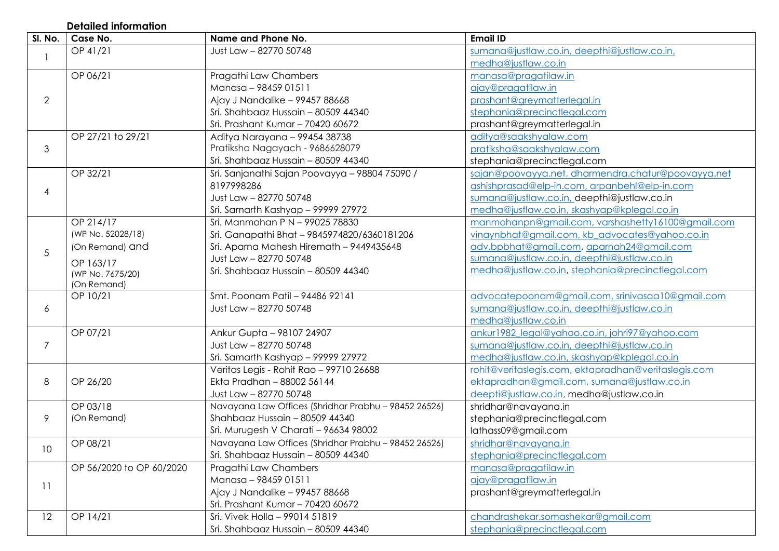## **Detailed information**

| SI. No.        | Case No.                 | Name and Phone No.                                   | <b>Email ID</b>                                      |
|----------------|--------------------------|------------------------------------------------------|------------------------------------------------------|
| 1              | OP 41/21                 | Just Law - 82770 50748                               | sumana@justlaw.co.in, deepthi@justlaw.co.in,         |
|                |                          |                                                      | medha@justlaw.co.in                                  |
|                | OP 06/21                 | Pragathi Law Chambers                                | manasa@pragatilaw.in                                 |
|                |                          | Manasa - 98459 01511                                 | ajay@pragatilaw.in                                   |
| $\overline{2}$ |                          | Ajay J Nandalike - 99457 88668                       | prashant@greymatterlegal.in                          |
|                |                          | Sri. Shahbaaz Hussain - 80509 44340                  | stephania@precinctlegal.com                          |
|                |                          | Sri. Prashant Kumar - 70420 60672                    | prashant@greymatterlegal.in                          |
| 3              | OP 27/21 to 29/21        | Aditya Narayana - 99454 38738                        | aditya@saakshyalaw.com                               |
|                |                          | Pratiksha Nagayach - 9686628079                      | pratiksha@saakshyalaw.com                            |
|                |                          | Sri. Shahbaaz Hussain - 80509 44340                  | stephania@precinctlegal.com                          |
|                | OP 32/21                 | Sri. Sanjanathi Sajan Poovayya - 98804 75090 /       | sajan@poovayya.net, dharmendra.chatur@poovayya.net   |
| 4              |                          | 8197998286                                           | ashishprasad@elp-in.com, arpanbehl@elp-in.com        |
|                |                          | Just Law - 82770 50748                               | sumana@justlaw.co.in, deepthi@justlaw.co.in          |
|                |                          | Sri. Samarth Kashyap - 99999 27972                   | medha@justlaw.co.in, skashyap@kplegal.co.in          |
|                | OP 214/17                | Sri. Manmohan P N - 99025 78830                      | manmohanpn@gmail.com, varshashetty16100@gmail.com    |
|                | (WP No. 52028/18)        | Sri. Ganapathi Bhat - 9845974820/6360181206          | vinaynbhat@gmail.com, kb advocates@yahoo.co.in       |
| 5              | (On Remand) and          | Sri. Aparna Mahesh Hiremath - 9449435648             | adv.bpbhat@gmail.com, aparnah24@gmail.com            |
|                | OP 163/17                | Just Law - 82770 50748                               | sumana@justlaw.co.in, deepthi@justlaw.co.in          |
|                | (WP No. 7675/20)         | Sri. Shahbaaz Hussain - 80509 44340                  | medha@justlaw.co.in, stephania@precinctlegal.com     |
|                | (On Remand)              |                                                      |                                                      |
|                | OP 10/21                 | Smt. Poonam Patil - 94486 92141                      | advocatepoonam@gmail.com, srinivasaa10@gmail.com     |
| 6              |                          | Just Law - 82770 50748                               | sumana@justlaw.co.in, deepthi@justlaw.co.in          |
|                |                          |                                                      | medha@justlaw.co.in                                  |
|                | OP 07/21                 | Ankur Gupta - 98107 24907                            | ankur1982 legal@yahoo.co.in, johri97@yahoo.com       |
| 7              |                          | Just Law - 82770 50748                               | sumana@justlaw.co.in, deepthi@justlaw.co.in          |
|                |                          | Sri. Samarth Kashyap - 99999 27972                   | medha@justlaw.co.in, skashyap@kplegal.co.in          |
|                |                          | Veritas Legis - Rohit Rao - 99710 26688              | rohit@veritaslegis.com, ektapradhan@veritaslegis.com |
| 8              | OP 26/20                 | Ekta Pradhan - 88002 56144                           | ektapradhan@gmail.com, sumana@justlaw.co.in          |
|                |                          | Just Law - 82770 50748                               | deepti@justlaw.co.in, medha@justlaw.co.in            |
|                | OP 03/18                 | Navayana Law Offices (Shridhar Prabhu - 98452 26526) | shridhar@navayana.in                                 |
| 9              | (On Remand)              | Shahbaaz Hussain - 80509 44340                       | stephania@precinctlegal.com                          |
|                |                          | Sri. Murugesh V Charati - 96634 98002                | lathass09@gmail.com                                  |
|                | OP 08/21                 | Navayana Law Offices (Shridhar Prabhu - 98452 26526) | shridhar@navayana.in                                 |
| 10             |                          | Sri. Shahbaaz Hussain - 80509 44340                  | stephania@precinctlegal.com                          |
| 11             | OP 56/2020 to OP 60/2020 | Pragathi Law Chambers                                | manasa@pragatilaw.in                                 |
|                |                          | Manasa - 98459 01511                                 | ajay@pragatilaw.in                                   |
|                |                          | Ajay J Nandalike - 99457 88668                       | prashant@greymatterlegal.in                          |
|                |                          | Sri. Prashant Kumar - 70420 60672                    |                                                      |
| 12             | OP 14/21                 | Sri. Vivek Holla - 99014 51819                       | chandrashekar.somashekar@gmail.com                   |
|                |                          | Sri. Shahbaaz Hussain - 80509 44340                  | stephania@precinctlegal.com                          |